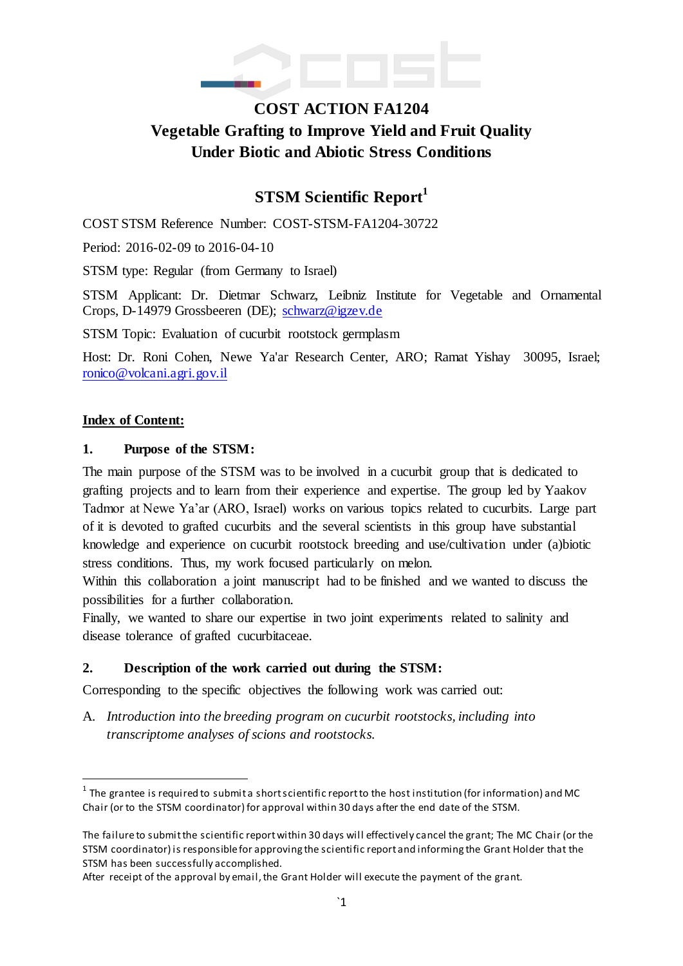

# **COST ACTION FA1204 Vegetable Grafting to Improve Yield and Fruit Quality Under Biotic and Abiotic Stress Conditions**

## **STSM Scientific Report<sup>1</sup>**

COST STSM Reference Number: COST-STSM-FA1204-30722

Period: 2016-02-09 to 2016-04-10

STSM type: Regular (from Germany to Israel)

STSM Applicant: Dr. Dietmar Schwarz, Leibniz Institute for Vegetable and Ornamental Crops, D-14979 Grossbeeren (DE); [schwarz@igzev.de](mailto:schwarz@igzev.de)

STSM Topic: Evaluation of cucurbit rootstock germplasm

Host: Dr. Roni Cohen, Newe Ya'ar Research Center, ARO; Ramat Yishay 30095, Israel; [ronico@volcani.agri.gov.il](mailto:ronico@volcani.agri.gov.il)

#### **Index of Content:**

 $\overline{a}$ 

#### **1. Purpose of the STSM:**

The main purpose of the STSM was to be involved in a cucurbit group that is dedicated to grafting projects and to learn from their experience and expertise. The group led by Yaakov Tadmor at Newe Ya'ar (ARO, Israel) works on various topics related to cucurbits. Large part of it is devoted to grafted cucurbits and the several scientists in this group have substantial knowledge and experience on cucurbit rootstock breeding and use/cultivation under (a)biotic stress conditions. Thus, my work focused particularly on melon.

Within this collaboration a joint manuscript had to be finished and we wanted to discuss the possibilities for a further collaboration.

Finally, we wanted to share our expertise in two joint experiments related to salinity and disease tolerance of grafted cucurbitaceae.

#### **2. Description of the work carried out during the STSM:**

Corresponding to the specific objectives the following work was carried out:

A. *Introduction into the breeding program on cucurbit rootstocks, including into transcriptome analyses of scions and rootstocks.*

 $^{\text{1}}$  The grantee is required to submit a short scientific report to the host institution (for information) and MC Chair (or to the STSM coordinator) for approval within 30 days after the end date of the STSM.

The failure to submit the scientific report within 30 days will effectively cancel the grant; The MC Chair (or the STSM coordinator) is responsible for approving the scientific report and informing the Grant Holder that the STSM has been successfully accomplished.

After receipt of the approval by email, the Grant Holder will execute the payment of the grant.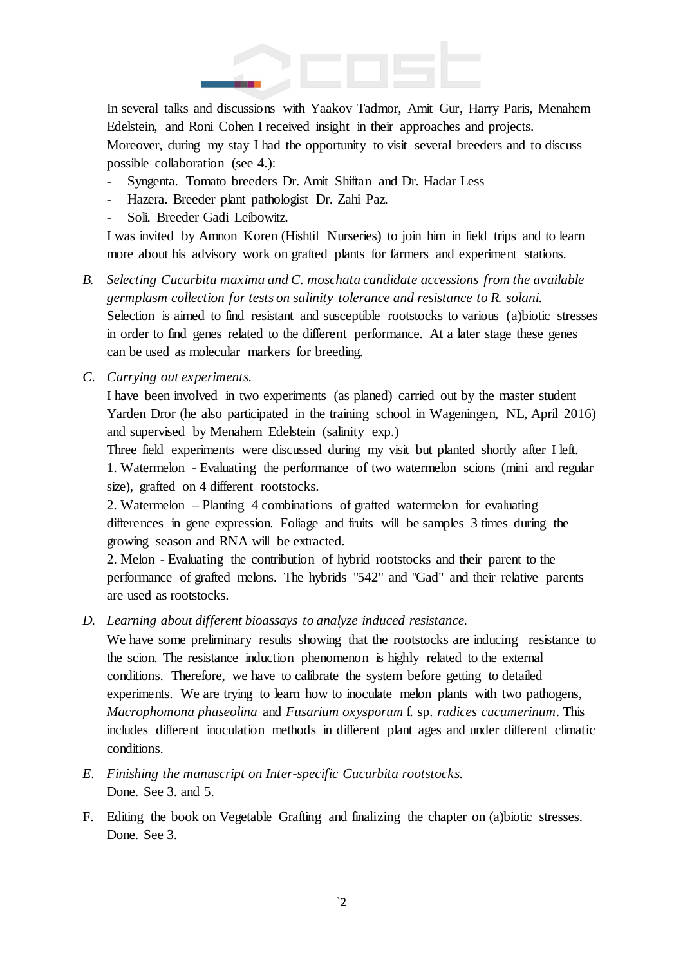

In several talks and discussions with Yaakov Tadmor, Amit Gur, Harry Paris, Menahem Edelstein, and Roni Cohen I received insight in their approaches and projects. Moreover, during my stay I had the opportunity to visit several breeders and to discuss possible collaboration (see 4.):

- Syngenta. Tomato breeders Dr. Amit Shiftan and Dr. Hadar Less
- Hazera. Breeder plant pathologist Dr. Zahi Paz.
- Soli. Breeder Gadi Leibowitz.

I was invited by Amnon Koren (Hishtil Nurseries) to join him in field trips and to learn more about his advisory work on grafted plants for farmers and experiment stations.

- *B. Selecting Cucurbita maxima and C. moschata candidate accessions from the available germplasm collection for tests on salinity tolerance and resistance to R. solani.*  Selection is aimed to find resistant and susceptible rootstocks to various (a)biotic stresses in order to find genes related to the different performance. At a later stage these genes can be used as molecular markers for breeding.
- *C. Carrying out experiments.*

I have been involved in two experiments (as planed) carried out by the master student Yarden Dror (he also participated in the training school in Wageningen, NL, April 2016) and supervised by Menahem Edelstein (salinity exp.)

Three field experiments were discussed during my visit but planted shortly after I left. 1. Watermelon - Evaluating the performance of two watermelon scions (mini and regular size), grafted on 4 different rootstocks.

2. Watermelon – Planting 4 combinations of grafted watermelon for evaluating differences in gene expression. Foliage and fruits will be samples 3 times during the growing season and RNA will be extracted.

2. Melon - Evaluating the contribution of hybrid rootstocks and their parent to the performance of grafted melons. The hybrids "542" and "Gad" and their relative parents are used as rootstocks.

*D. Learning about different bioassays to analyze induced resistance.* 

We have some preliminary results showing that the rootstocks are inducing resistance to the scion. The resistance induction phenomenon is highly related to the external conditions. Therefore, we have to calibrate the system before getting to detailed experiments. We are trying to learn how to inoculate melon plants with two pathogens, *Macrophomona phaseolina* and *Fusarium oxysporum* f. sp. *radices cucumerinum*. This includes different inoculation methods in different plant ages and under different climatic conditions.

- *E. Finishing the manuscript on Inter-specific Cucurbita rootstocks.*  Done. See 3. and 5.
- F. Editing the book on Vegetable Grafting and finalizing the chapter on (a)biotic stresses. Done. See 3.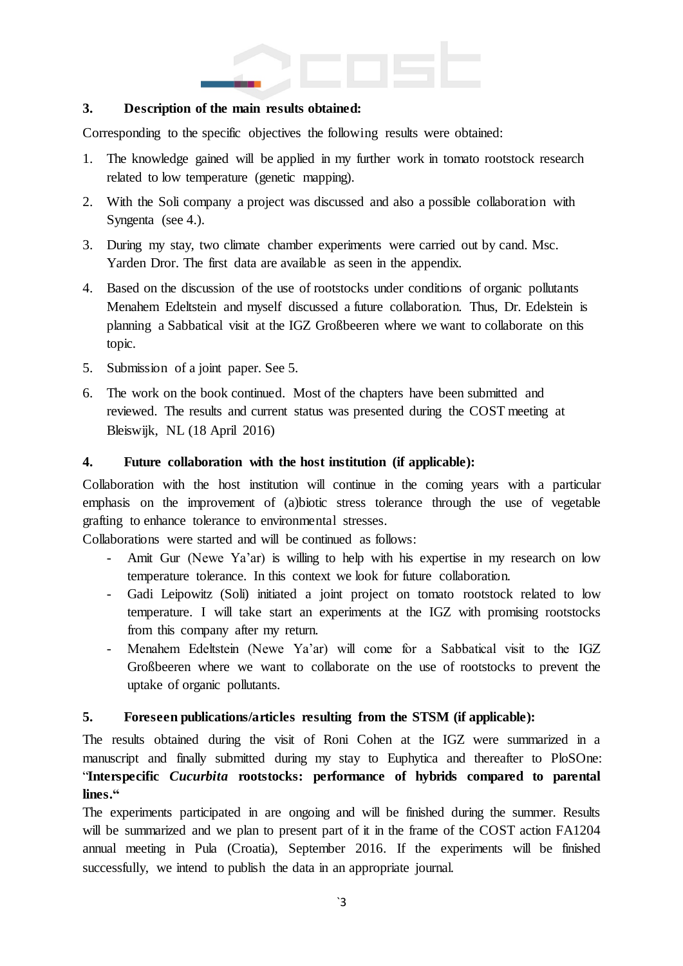

#### **3. Description of the main results obtained:**

Corresponding to the specific objectives the following results were obtained:

- 1. The knowledge gained will be applied in my further work in tomato rootstock research related to low temperature (genetic mapping).
- 2. With the Soli company a project was discussed and also a possible collaboration with Syngenta (see 4.).
- 3. During my stay, two climate chamber experiments were carried out by cand. Msc. Yarden Dror. The first data are available as seen in the appendix.
- 4. Based on the discussion of the use of rootstocks under conditions of organic pollutants Menahem Edeltstein and myself discussed a future collaboration. Thus, Dr. Edelstein is planning a Sabbatical visit at the IGZ Großbeeren where we want to collaborate on this topic.
- 5. Submission of a joint paper. See 5.
- 6. The work on the book continued. Most of the chapters have been submitted and reviewed. The results and current status was presented during the COST meeting at Bleiswijk, NL (18 April 2016)

#### **4. Future collaboration with the host institution (if applicable):**

Collaboration with the host institution will continue in the coming years with a particular emphasis on the improvement of (a)biotic stress tolerance through the use of vegetable grafting to enhance tolerance to environmental stresses.

Collaborations were started and will be continued as follows:

- Amit Gur (Newe Ya'ar) is willing to help with his expertise in my research on low temperature tolerance. In this context we look for future collaboration.
- Gadi Leipowitz (Soli) initiated a joint project on tomato rootstock related to low temperature. I will take start an experiments at the IGZ with promising rootstocks from this company after my return.
- Menahem Edeltstein (Newe Ya'ar) will come for a Sabbatical visit to the IGZ Großbeeren where we want to collaborate on the use of rootstocks to prevent the uptake of organic pollutants.

#### **5. Foreseen publications/articles resulting from the STSM (if applicable):**

The results obtained during the visit of Roni Cohen at the IGZ were summarized in a manuscript and finally submitted during my stay to Euphytica and thereafter to PloSOne: "**Interspecific** *Cucurbita* **rootstocks: performance of hybrids compared to parental lines."**

The experiments participated in are ongoing and will be finished during the summer. Results will be summarized and we plan to present part of it in the frame of the COST action FA1204 annual meeting in Pula (Croatia), September 2016. If the experiments will be finished successfully, we intend to publish the data in an appropriate journal.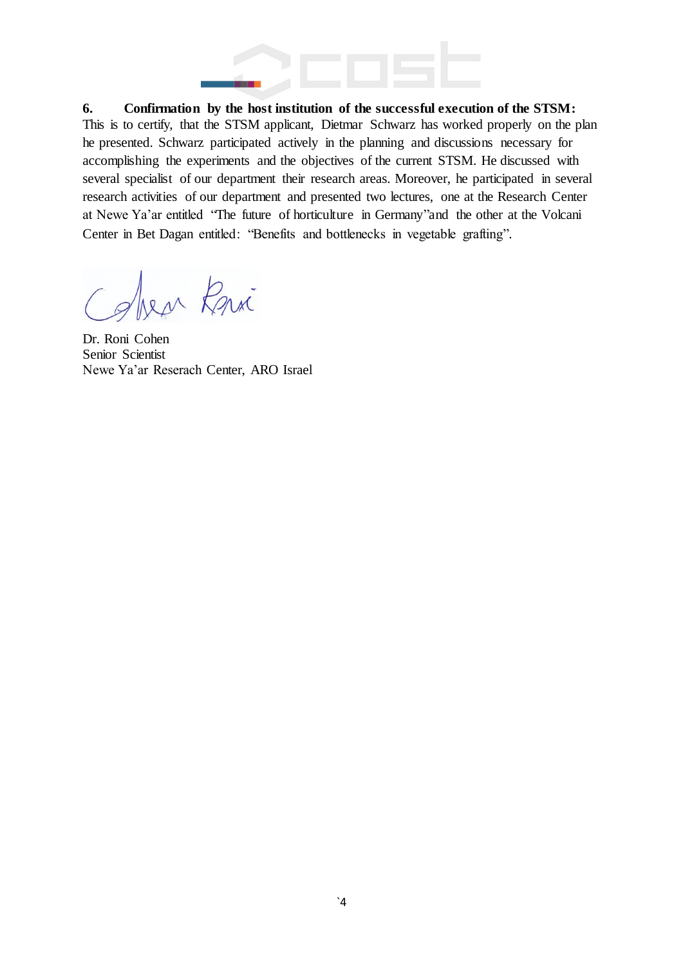

**6. Confirmation by the host institution of the successful execution of the STSM:**

This is to certify, that the STSM applicant, Dietmar Schwarz has worked properly on the plan he presented. Schwarz participated actively in the planning and discussions necessary for accomplishing the experiments and the objectives of the current STSM. He discussed with several specialist of our department their research areas. Moreover, he participated in several research activities of our department and presented two lectures, one at the Research Center at Newe Ya'ar entitled "The future of horticulture in Germany"and the other at the Volcani Center in Bet Dagan entitled: "Benefits and bottlenecks in vegetable grafting".

ben Kri

Dr. Roni Cohen Senior Scientist Newe Ya'ar Reserach Center, ARO Israel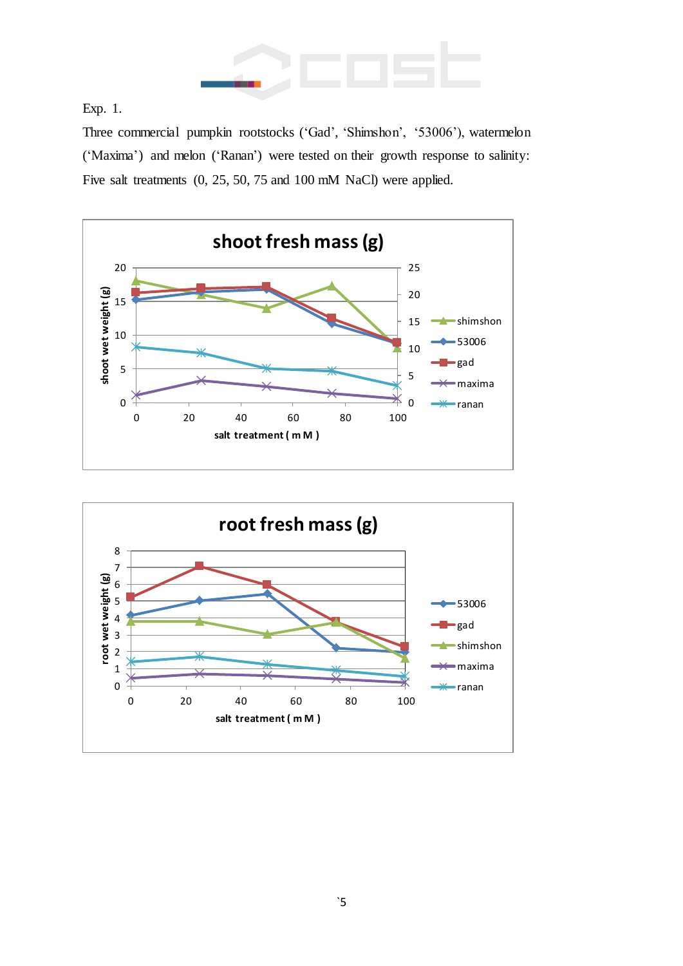

Exp. 1.

Three commercial pumpkin rootstocks ('Gad', 'Shimshon', '53006'), watermelon ('Maxima') and melon ('Ranan') were tested on their growth response to salinity: Five salt treatments (0, 25, 50, 75 and 100 mM NaCl) were applied.